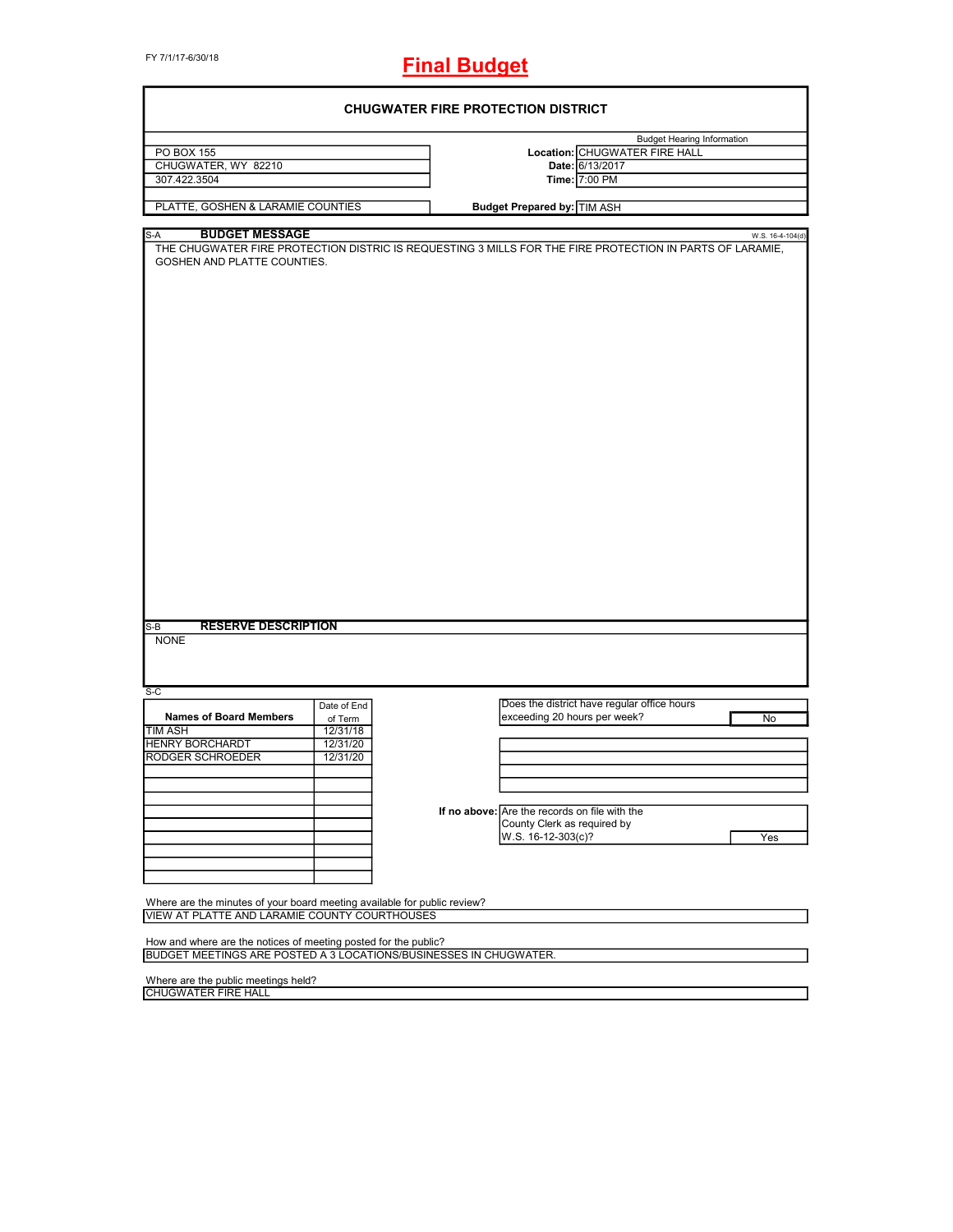# **Final Budget**

| <b>CHUGWATER FIRE PROTECTION DISTRICT</b>                                |             |  |                                                                                                          |                                   |  |
|--------------------------------------------------------------------------|-------------|--|----------------------------------------------------------------------------------------------------------|-----------------------------------|--|
|                                                                          |             |  |                                                                                                          | <b>Budget Hearing Information</b> |  |
| PO BOX 155                                                               |             |  | Location: CHUGWATER FIRE HALL                                                                            |                                   |  |
| CHUGWATER, WY 82210                                                      |             |  | Date: 6/13/2017                                                                                          |                                   |  |
| 307.422.3504                                                             |             |  | Time: 7:00 PM                                                                                            |                                   |  |
|                                                                          |             |  |                                                                                                          |                                   |  |
| PLATTE, GOSHEN & LARAMIE COUNTIES                                        |             |  | <b>Budget Prepared by: TIM ASH</b>                                                                       |                                   |  |
| <b>BUDGET MESSAGE</b><br>S-A                                             |             |  |                                                                                                          | W.S. 16-4-104(d)                  |  |
|                                                                          |             |  | THE CHUGWATER FIRE PROTECTION DISTRIC IS REQUESTING 3 MILLS FOR THE FIRE PROTECTION IN PARTS OF LARAMIE, |                                   |  |
| GOSHEN AND PLATTE COUNTIES.                                              |             |  |                                                                                                          |                                   |  |
|                                                                          |             |  |                                                                                                          |                                   |  |
|                                                                          |             |  |                                                                                                          |                                   |  |
|                                                                          |             |  |                                                                                                          |                                   |  |
|                                                                          |             |  |                                                                                                          |                                   |  |
|                                                                          |             |  |                                                                                                          |                                   |  |
|                                                                          |             |  |                                                                                                          |                                   |  |
|                                                                          |             |  |                                                                                                          |                                   |  |
|                                                                          |             |  |                                                                                                          |                                   |  |
|                                                                          |             |  |                                                                                                          |                                   |  |
|                                                                          |             |  |                                                                                                          |                                   |  |
|                                                                          |             |  |                                                                                                          |                                   |  |
|                                                                          |             |  |                                                                                                          |                                   |  |
|                                                                          |             |  |                                                                                                          |                                   |  |
|                                                                          |             |  |                                                                                                          |                                   |  |
|                                                                          |             |  |                                                                                                          |                                   |  |
|                                                                          |             |  |                                                                                                          |                                   |  |
|                                                                          |             |  |                                                                                                          |                                   |  |
|                                                                          |             |  |                                                                                                          |                                   |  |
|                                                                          |             |  |                                                                                                          |                                   |  |
|                                                                          |             |  |                                                                                                          |                                   |  |
|                                                                          |             |  |                                                                                                          |                                   |  |
|                                                                          |             |  |                                                                                                          |                                   |  |
|                                                                          |             |  |                                                                                                          |                                   |  |
|                                                                          |             |  |                                                                                                          |                                   |  |
| <b>RESERVE DESCRIPTION</b><br>$S-B$                                      |             |  |                                                                                                          |                                   |  |
| <b>NONE</b>                                                              |             |  |                                                                                                          |                                   |  |
|                                                                          |             |  |                                                                                                          |                                   |  |
|                                                                          |             |  |                                                                                                          |                                   |  |
|                                                                          |             |  |                                                                                                          |                                   |  |
| $S-C$                                                                    |             |  |                                                                                                          |                                   |  |
|                                                                          | Date of End |  | Does the district have regular office hours                                                              |                                   |  |
| <b>Names of Board Members</b>                                            | of Term     |  | exceeding 20 hours per week?                                                                             | No                                |  |
| <b>TIM ASH</b>                                                           | 12/31/18    |  |                                                                                                          |                                   |  |
| <b>HENRY BORCHARDT</b>                                                   | 12/31/20    |  |                                                                                                          |                                   |  |
| <b>RODGER SCHROEDER</b>                                                  | 12/31/20    |  |                                                                                                          |                                   |  |
|                                                                          |             |  |                                                                                                          |                                   |  |
|                                                                          |             |  |                                                                                                          |                                   |  |
|                                                                          |             |  | If no above: Are the records on file with the                                                            |                                   |  |
|                                                                          |             |  | County Clerk as required by                                                                              |                                   |  |
|                                                                          |             |  | W.S. 16-12-303(c)?                                                                                       | Yes                               |  |
|                                                                          |             |  |                                                                                                          |                                   |  |
|                                                                          |             |  |                                                                                                          |                                   |  |
|                                                                          |             |  |                                                                                                          |                                   |  |
|                                                                          |             |  |                                                                                                          |                                   |  |
| Where are the minutes of your board meeting available for public review? |             |  |                                                                                                          |                                   |  |
| VIEW AT PLATTE AND LARAMIE COUNTY COURTHOUSES                            |             |  |                                                                                                          |                                   |  |
|                                                                          |             |  |                                                                                                          |                                   |  |
| How and where are the notices of meeting posted for the public?          |             |  |                                                                                                          |                                   |  |
| <b>BUDGET MEETINGS ARE POSTED A 3 LOCATIONS/BUSINESSES IN CHUGWATER.</b> |             |  |                                                                                                          |                                   |  |
|                                                                          |             |  |                                                                                                          |                                   |  |
| Where are the public meetings held?                                      |             |  |                                                                                                          |                                   |  |
| <b>CHUGWATER FIRE HALL</b>                                               |             |  |                                                                                                          |                                   |  |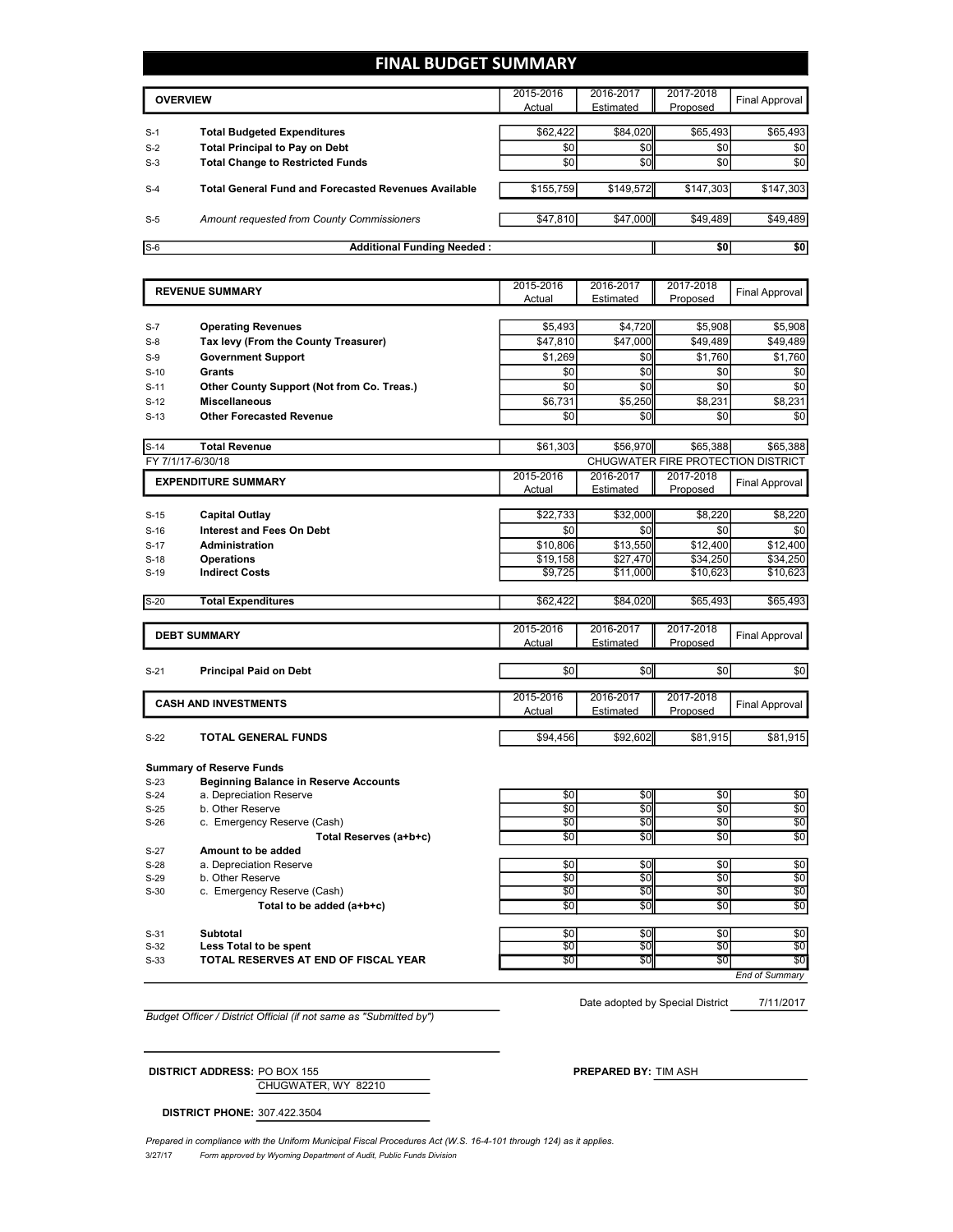## **FINAL BUDGET SUMMARY**

|       | <b>OVERVIEW</b>                                             | 2015-2016 | 2016-2017 | 2017-2018 |                |
|-------|-------------------------------------------------------------|-----------|-----------|-----------|----------------|
|       |                                                             |           | Estimated | Proposed  | Final Approval |
|       |                                                             |           |           |           |                |
| $S-1$ | <b>Total Budgeted Expenditures</b>                          | \$62,422  | \$84,020  | \$65,493  | \$65,493       |
| $S-2$ | <b>Total Principal to Pay on Debt</b>                       | \$0       | \$0       | \$0       | \$0            |
| $S-3$ | <b>Total Change to Restricted Funds</b>                     | \$0       | \$0       | \$0       | \$0            |
| $S-4$ | <b>Total General Fund and Forecasted Revenues Available</b> | \$155,759 | \$149,572 | \$147,303 | \$147,303      |
| $S-5$ | Amount requested from County Commissioners                  | \$47,810  | \$47,000  | \$49,489  | \$49,489       |
| $S-6$ | <b>Additional Funding Needed:</b>                           |           |           | \$0       | \$0            |

|        | <b>REVENUE SUMMARY</b>                                                          | 2015-2016           | 2016-2017              | 2017-2018                          | Final Approval        |
|--------|---------------------------------------------------------------------------------|---------------------|------------------------|------------------------------------|-----------------------|
|        |                                                                                 | Actual              | Estimated              | Proposed                           |                       |
|        |                                                                                 |                     |                        |                                    |                       |
| $S-7$  | <b>Operating Revenues</b>                                                       | \$5,493             | \$4,720                | \$5,908                            | \$5,908               |
| $S-8$  | Tax levy (From the County Treasurer)                                            | \$47,810            | \$47,000               | \$49,489                           | \$49,489              |
| $S-9$  | <b>Government Support</b>                                                       | \$1,269             | \$0                    | \$1,760                            | \$1,760               |
| $S-10$ | <b>Grants</b>                                                                   | \$0                 | \$0                    | \$0                                | \$0                   |
| $S-11$ | <b>Other County Support (Not from Co. Treas.)</b>                               | \$0                 | \$0                    | \$0                                | \$0                   |
| $S-12$ | <b>Miscellaneous</b>                                                            | \$6,731             | $\overline{$}5,250$    | \$8,231                            | $\overline{$8,231}$   |
| $S-13$ | <b>Other Forecasted Revenue</b>                                                 | \$0                 | \$0                    | \$0                                | \$0                   |
|        |                                                                                 |                     |                        |                                    |                       |
| $S-14$ | <b>Total Revenue</b>                                                            | \$61,303            | \$56,970               | \$65,388                           | \$65,388              |
|        | FY 7/1/17-6/30/18                                                               |                     |                        | CHUGWATER FIRE PROTECTION DISTRICT |                       |
|        | <b>EXPENDITURE SUMMARY</b>                                                      | 2015-2016           | 2016-2017              | 2017-2018                          | Final Approval        |
|        |                                                                                 | Actual              | Estimated              | Proposed                           |                       |
|        |                                                                                 |                     |                        |                                    |                       |
| $S-15$ | <b>Capital Outlay</b>                                                           | \$22,733            | \$32,000               | \$8,220                            | \$8,220               |
| $S-16$ | <b>Interest and Fees On Debt</b>                                                | \$0                 | \$0                    | \$0                                | \$0                   |
| $S-17$ | Administration                                                                  | \$10,806            | \$13,550               | \$12,400                           | \$12,400              |
| $S-18$ | <b>Operations</b>                                                               | \$19,158            | \$27,470               | \$34,250                           | \$34,250              |
| $S-19$ | <b>Indirect Costs</b>                                                           | \$9,725             | \$11,000               | \$10,623                           | \$10,623              |
|        |                                                                                 |                     |                        |                                    |                       |
| $S-20$ | <b>Total Expenditures</b>                                                       | \$62,422            | \$84,020               | \$65,493                           | \$65,493              |
|        |                                                                                 |                     |                        |                                    |                       |
|        |                                                                                 |                     |                        |                                    |                       |
|        | <b>DEBT SUMMARY</b>                                                             | 2015-2016<br>Actual | 2016-2017<br>Estimated | 2017-2018<br>Proposed              | <b>Final Approval</b> |
|        |                                                                                 |                     |                        |                                    |                       |
| $S-21$ | <b>Principal Paid on Debt</b>                                                   | \$0                 | \$0                    | \$0                                | \$0                   |
|        |                                                                                 | 2015-2016           | 2016-2017              | 2017-2018                          |                       |
|        | <b>CASH AND INVESTMENTS</b>                                                     | Actual              | Estimated              | Proposed                           | <b>Final Approval</b> |
| $S-22$ | <b>TOTAL GENERAL FUNDS</b>                                                      |                     |                        |                                    |                       |
|        |                                                                                 | \$94,456            | \$92,602               | \$81,915                           | \$81,915              |
|        |                                                                                 |                     |                        |                                    |                       |
| $S-23$ | <b>Summary of Reserve Funds</b><br><b>Beginning Balance in Reserve Accounts</b> |                     |                        |                                    |                       |
| $S-24$ |                                                                                 |                     |                        |                                    |                       |
| $S-25$ | a. Depreciation Reserve<br>b. Other Reserve                                     | \$0<br>\$0          | \$0<br>\$0             | \$0<br>$\sqrt{50}$                 |                       |
| $S-26$ | c. Emergency Reserve (Cash)                                                     | \$0                 | \$0                    | \$0                                | $$0$$<br>\$0          |
|        | Total Reserves (a+b+c)                                                          | \$0                 | \$0                    | \$0                                | $$0$<br>\$0           |
| $S-27$ | Amount to be added                                                              |                     |                        |                                    |                       |
| $S-28$ | a. Depreciation Reserve                                                         | \$0                 | \$0                    | $\frac{1}{6}$                      | $\frac{6}{3}$         |
| S-29   | b. Other Reserve                                                                | \$0                 | \$0                    | \$0                                | \$0                   |
| $S-30$ | c. Emergency Reserve (Cash)<br>Total to be added $(a+b+c)$                      | \$0<br>\$0          | \$0<br>\$0             | \$0<br>\$0                         | \$0<br>\$0            |

S-31 **Subtotal** \$0| \$0| \$0| \$0 **Example 3.32 Less Total to be spent because the spentific set of the spentific set of the spentific set of the spentific set of the spentific set of the spentific set of the spentific set of the spentific set of the s** 

S-33 **TOTAL RESERVES AT END OF FISCAL YEAR** \$0 \$0 \$0 \$0 \$0 \$0 \$0 *End of Summary*

Date adopted by Special District

7/11/2017

*Budget Officer / District Official (if not same as "Submitted by")*

**DISTRICT ADDRESS:** PO BOX 155 **PREPARED BY:** TIM ASH

CHUGWATER, WY 82210

**DISTRICT PHONE:** 307.422.3504

3/27/17 *Form approved by Wyoming Department of Audit, Public Funds Division* Prepared in compliance with the Uniform Municipal Fiscal Procedures Act (W.S. 16-4-101 through 124) as it applies.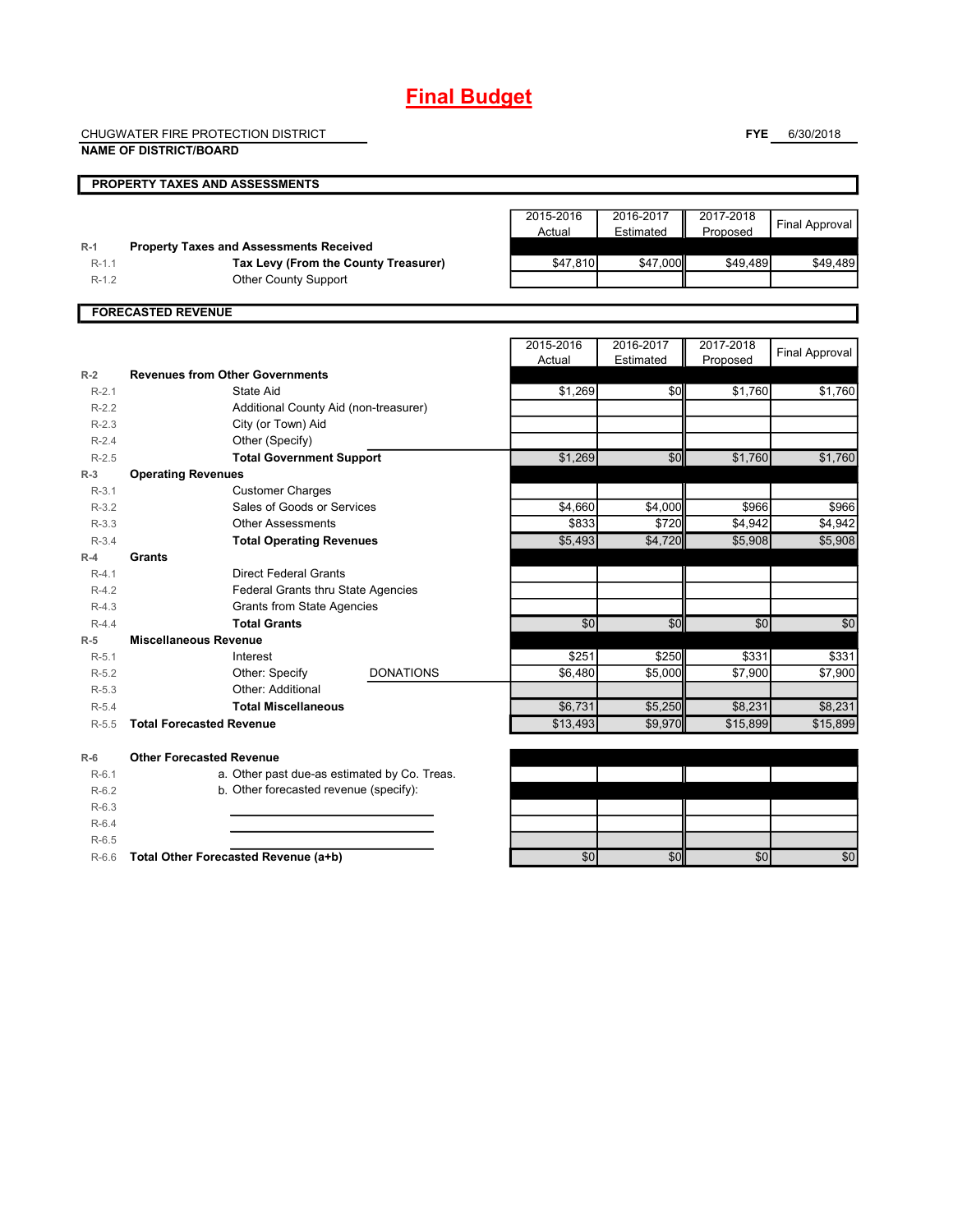## **Final Budget**

CHUGWATER FIRE PROTECTION DISTRICT **NAME OF DISTRICT/BOARD**

**FYE** 6/30/2018

#### **PROPERTY TAXES AND ASSESSMENTS** 2015-2016 Actual 2016-2017 Estimated 2017-2018 Proposed Final Approval **R-1 Property Taxes and Assessments Received** R-1.1 **Tax Levy (From the County Treasurer) <b>547,810** \$47,000 \$49,489 \$49,489 \$49,489 R-1.2 Other County Support **FORECASTED REVENUE** 2015-2016 **Actual** 2016-2017 **Estimated** 2017-2018 **Proposed** Final Approval **R-2 Revenues from Other Governments** R-2.1 State Aid \$1,269 | \$0| \$1,760 | \$1,760 R-2.2 R-2.3 R-2.4 **Other (Specify)** R-2.5 **Total Government Support** \$1,269 \$0 \$1,760 \$1,760 City (or Town) Aid State Aid Additional County Aid (non-treasurer)

| $R-Z.4$   | Other (Specify)                              |          |         |                 |          |
|-----------|----------------------------------------------|----------|---------|-----------------|----------|
| $R - 2.5$ | <b>Total Government Support</b>              | \$1,269  | \$0     | \$1,760         | \$1,760  |
| $R-3$     | <b>Operating Revenues</b>                    |          |         |                 |          |
| $R-3.1$   | <b>Customer Charges</b>                      |          |         |                 |          |
| $R-3.2$   | Sales of Goods or Services                   | \$4,660  | \$4,000 | \$966           | \$966    |
| $R-3.3$   | <b>Other Assessments</b>                     | \$833    | \$720   | \$4,942         | \$4,942  |
| $R-3.4$   | <b>Total Operating Revenues</b>              | \$5,493  | \$4,720 | \$5,908         | \$5,908  |
| $R-4$     | <b>Grants</b>                                |          |         |                 |          |
| $R-4.1$   | <b>Direct Federal Grants</b>                 |          |         |                 |          |
| $R-4.2$   | Federal Grants thru State Agencies           |          |         |                 |          |
| $R-4.3$   | <b>Grants from State Agencies</b>            |          |         |                 |          |
| $R-4.4$   | <b>Total Grants</b>                          | \$0      | \$0     | \$0             | \$0      |
| $R-5$     | <b>Miscellaneous Revenue</b>                 |          |         |                 |          |
| $R-5.1$   | Interest                                     | \$251    | \$250   | \$331           | \$331    |
| $R-5.2$   | Other: Specify<br><b>DONATIONS</b>           | \$6,480  | \$5,000 | \$7,900         | \$7,900  |
| $R-5.3$   | Other: Additional                            |          |         |                 |          |
| $R-5.4$   | <b>Total Miscellaneous</b>                   | \$6,731  | \$5,250 | \$8,231         | \$8,231  |
| $R-5.5$   | <b>Total Forecasted Revenue</b>              | \$13,493 | \$9,970 | \$15,899        | \$15,899 |
| $R-6$     | <b>Other Forecasted Revenue</b>              |          |         |                 |          |
| $R-6.1$   | a. Other past due-as estimated by Co. Treas. |          |         |                 |          |
| $R-6.2$   | b. Other forecasted revenue (specify):       |          |         |                 |          |
| $R-6.3$   |                                              |          |         |                 |          |
| $R-6.4$   |                                              |          |         |                 |          |
| $R-6.5$   |                                              |          |         |                 |          |
| $R-6.6$   | Total Other Forecasted Revenue (a+b)         | 30       | \$0     | $\overline{50}$ | \$0      |
|           |                                              |          |         |                 |          |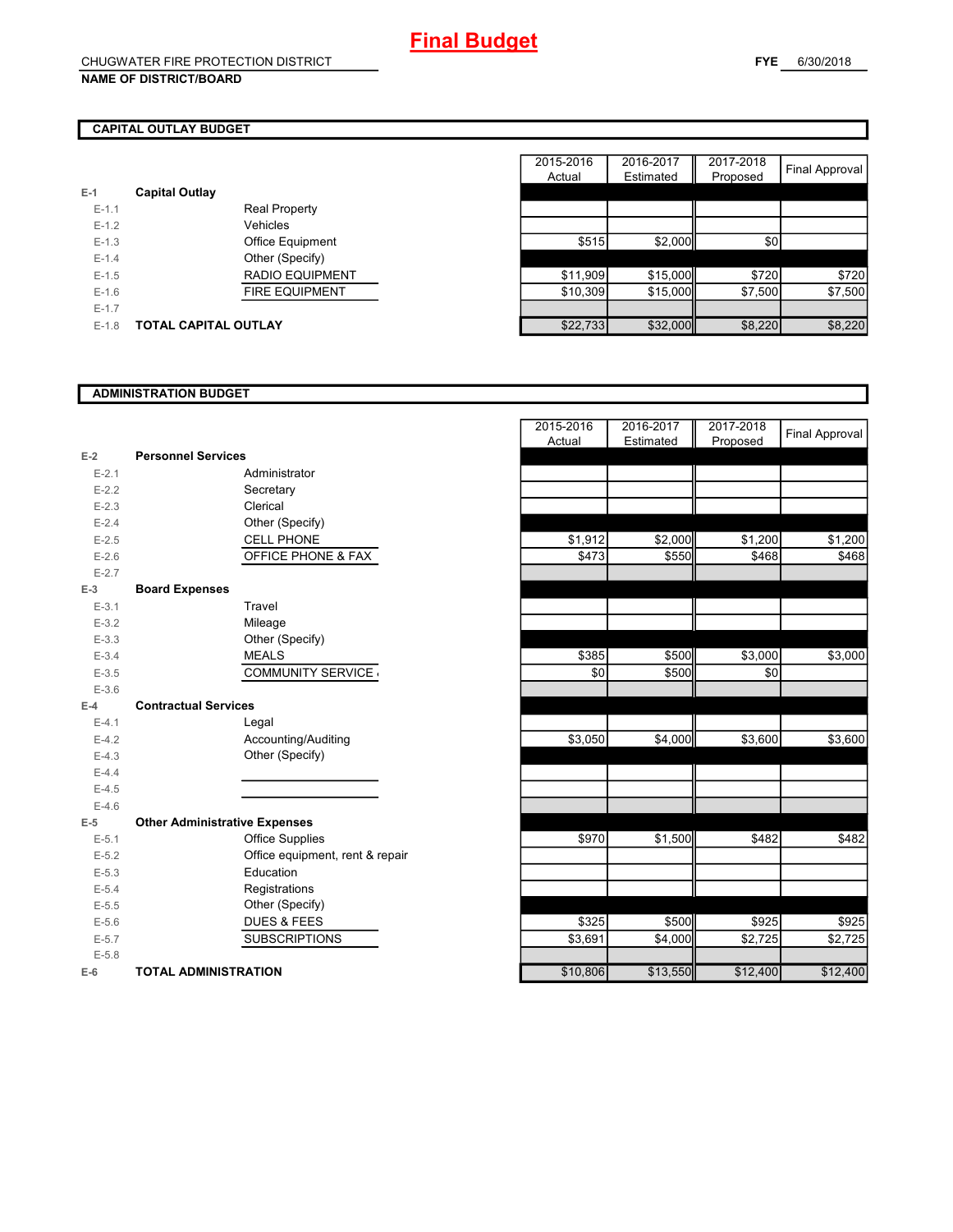### **CAPITAL OUTLAY BUDGET**

| $E-1$     | <b>Capital Outlay</b> |                         |
|-----------|-----------------------|-------------------------|
| $E - 1.1$ |                       | <b>Real Property</b>    |
| $F-1.2$   |                       | Vehicles                |
| $F-1.3$   |                       | <b>Office Equipment</b> |
| $F-1.4$   |                       | Other (Specify)         |
| $F-1.5$   |                       | RADIO EQUIPMENT         |
| $F-1.6$   |                       | <b>FIRE EQUIPMENT</b>   |
| $F-1.7$   |                       |                         |
| $F-1.8$   | TOTAL CAPITAL OUTLAY  |                         |

|         |                             |                        | 2015-2016 | 2016-2017 | 2017-2018 |                |
|---------|-----------------------------|------------------------|-----------|-----------|-----------|----------------|
|         |                             |                        | Actual    | Estimated | Proposed  | Final Approval |
|         | <b>Capital Outlay</b>       |                        |           |           |           |                |
| $E-1.1$ |                             | <b>Real Property</b>   |           |           |           |                |
| $E-1.2$ |                             | Vehicles               |           |           |           |                |
| $E-1.3$ |                             | Office Equipment       | \$515     | \$2,000   | \$0       |                |
| $E-1.4$ |                             | Other (Specify)        |           |           |           |                |
| $E-1.5$ |                             | <b>RADIO EQUIPMENT</b> | \$11,909  | \$15,000  | \$720     | \$720          |
| $E-1.6$ |                             | <b>FIRE EQUIPMENT</b>  | \$10,309  | \$15,000  | \$7,500   | \$7,500        |
| $E-1.7$ |                             |                        |           |           |           |                |
| $E-1.8$ | <b>TOTAL CAPITAL OUTLAY</b> |                        | \$22,733  | \$32,000  | \$8,220   | \$8,220        |

#### **ADMINISTRATION BUDGET**

|           |                                      |                                 | Actual   | Esumated<br>Ш | Proposed |
|-----------|--------------------------------------|---------------------------------|----------|---------------|----------|
| $E-2$     | <b>Personnel Services</b>            |                                 |          |               |          |
| $E - 2.1$ |                                      | Administrator                   |          |               |          |
| $E - 2.2$ |                                      | Secretary                       |          |               |          |
| $E - 2.3$ |                                      | Clerical                        |          |               |          |
| $E - 2.4$ |                                      | Other (Specify)                 |          |               |          |
| $E-2.5$   |                                      | <b>CELL PHONE</b>               | \$1,912  | \$2,000       | \$1,200  |
| $E-2.6$   |                                      | OFFICE PHONE & FAX              | \$473    | \$550         | \$468    |
| $E - 2.7$ |                                      |                                 |          |               |          |
| $E-3$     | <b>Board Expenses</b>                |                                 |          |               |          |
| $E-3.1$   |                                      | Travel                          |          |               |          |
| $E - 3.2$ |                                      | Mileage                         |          |               |          |
| $E-3.3$   |                                      | Other (Specify)                 |          |               |          |
| $E - 3.4$ |                                      | <b>MEALS</b>                    | \$385    | \$500         | \$3,000  |
| $E - 3.5$ |                                      | <b>COMMUNITY SERVICE</b>        | \$0      | \$500         | \$0      |
| $E - 3.6$ |                                      |                                 |          |               |          |
| $E-4$     | <b>Contractual Services</b>          |                                 |          |               |          |
| $E-4.1$   |                                      | Legal                           |          |               |          |
| $E-4.2$   |                                      | Accounting/Auditing             | \$3,050  | \$4,000       | \$3,600  |
| $E-4.3$   |                                      | Other (Specify)                 |          |               |          |
| $E-4.4$   |                                      |                                 |          |               |          |
| $E-4.5$   |                                      |                                 |          |               |          |
| $E-4.6$   |                                      |                                 |          |               |          |
| $E-5$     | <b>Other Administrative Expenses</b> |                                 |          |               |          |
| $E - 5.1$ |                                      | Office Supplies                 | \$970    | \$1,500       | \$482    |
| $E - 5.2$ |                                      | Office equipment, rent & repair |          |               |          |
| $E-5.3$   |                                      | Education                       |          |               |          |
| $E - 5.4$ |                                      | Registrations                   |          |               |          |
| $E - 5.5$ |                                      | Other (Specify)                 |          |               |          |
| $E - 5.6$ |                                      | <b>DUES &amp; FEES</b>          | \$325    | \$500         | \$925    |
| $E - 5.7$ |                                      | <b>SUBSCRIPTIONS</b>            | \$3,691  | \$4,000       | \$2,725  |
| $E - 5.8$ |                                      |                                 |          |               |          |
| $E-6$     | <b>TOTAL ADMINISTRATION</b>          |                                 | \$10,806 | \$13,550      | \$12,400 |

|           |                                      | 2015-2016<br>Actual | 2016-2017<br>Estimated | 2017-2018<br>Proposed | <b>Final Approval</b> |
|-----------|--------------------------------------|---------------------|------------------------|-----------------------|-----------------------|
| $E-2$     | <b>Personnel Services</b>            |                     |                        |                       |                       |
| $E - 2.1$ | Administrator                        |                     |                        |                       |                       |
| $E - 2.2$ | Secretary                            |                     |                        |                       |                       |
| $E - 2.3$ | Clerical                             |                     |                        |                       |                       |
| $E - 2.4$ | Other (Specify)                      |                     |                        |                       |                       |
| $E-2.5$   | <b>CELL PHONE</b>                    | \$1,912             | \$2,000                | \$1,200               | \$1,200               |
| $E-2.6$   | <b>OFFICE PHONE &amp; FAX</b>        | \$473               | \$550                  | \$468                 | \$468                 |
| $E-2.7$   |                                      |                     |                        |                       |                       |
| $E-3$     | <b>Board Expenses</b>                |                     |                        |                       |                       |
| $E-3.1$   | Travel                               |                     |                        |                       |                       |
| $E - 3.2$ | Mileage                              |                     |                        |                       |                       |
| $E - 3.3$ | Other (Specify)                      |                     |                        |                       |                       |
| $E - 3.4$ | <b>MEALS</b>                         | \$385               | \$500                  | \$3,000               | \$3,000               |
| $E - 3.5$ | <b>COMMUNITY SERVICE</b>             | \$0                 | \$500                  | \$0                   |                       |
| $E - 3.6$ |                                      |                     |                        |                       |                       |
| $E-4$     | <b>Contractual Services</b>          |                     |                        |                       |                       |
| $E - 4.1$ | Legal                                |                     |                        |                       |                       |
| $E-4.2$   | Accounting/Auditing                  | \$3,050             | \$4,000                | \$3,600               | \$3,600               |
| $E-4.3$   | Other (Specify)                      |                     |                        |                       |                       |
| $E-4.4$   |                                      |                     |                        |                       |                       |
| $E-4.5$   |                                      |                     |                        |                       |                       |
| $E-4.6$   |                                      |                     |                        |                       |                       |
| $E-5$     | <b>Other Administrative Expenses</b> |                     |                        |                       |                       |
| $E-5.1$   | <b>Office Supplies</b>               | \$970               | \$1,500                | \$482                 | \$482                 |
| $E - 5.2$ | Office equipment, rent & repair      |                     |                        |                       |                       |
| $E - 5.3$ | Education                            |                     |                        |                       |                       |
| $E - 5.4$ | Registrations                        |                     |                        |                       |                       |
| $E - 5.5$ | Other (Specify)                      |                     |                        |                       |                       |
| $E-5.6$   | <b>DUES &amp; FEES</b>               | \$325               | \$500                  | \$925                 | \$925                 |
| $E - 5.7$ | <b>SUBSCRIPTIONS</b>                 | \$3,691             | \$4,000                | \$2,725               | \$2,725               |
| $E - 5.8$ |                                      |                     |                        |                       |                       |
| $E-6$     | <b>TOTAL ADMINISTRATION</b>          | \$10,806            | \$13,550               | \$12,400              | \$12,400              |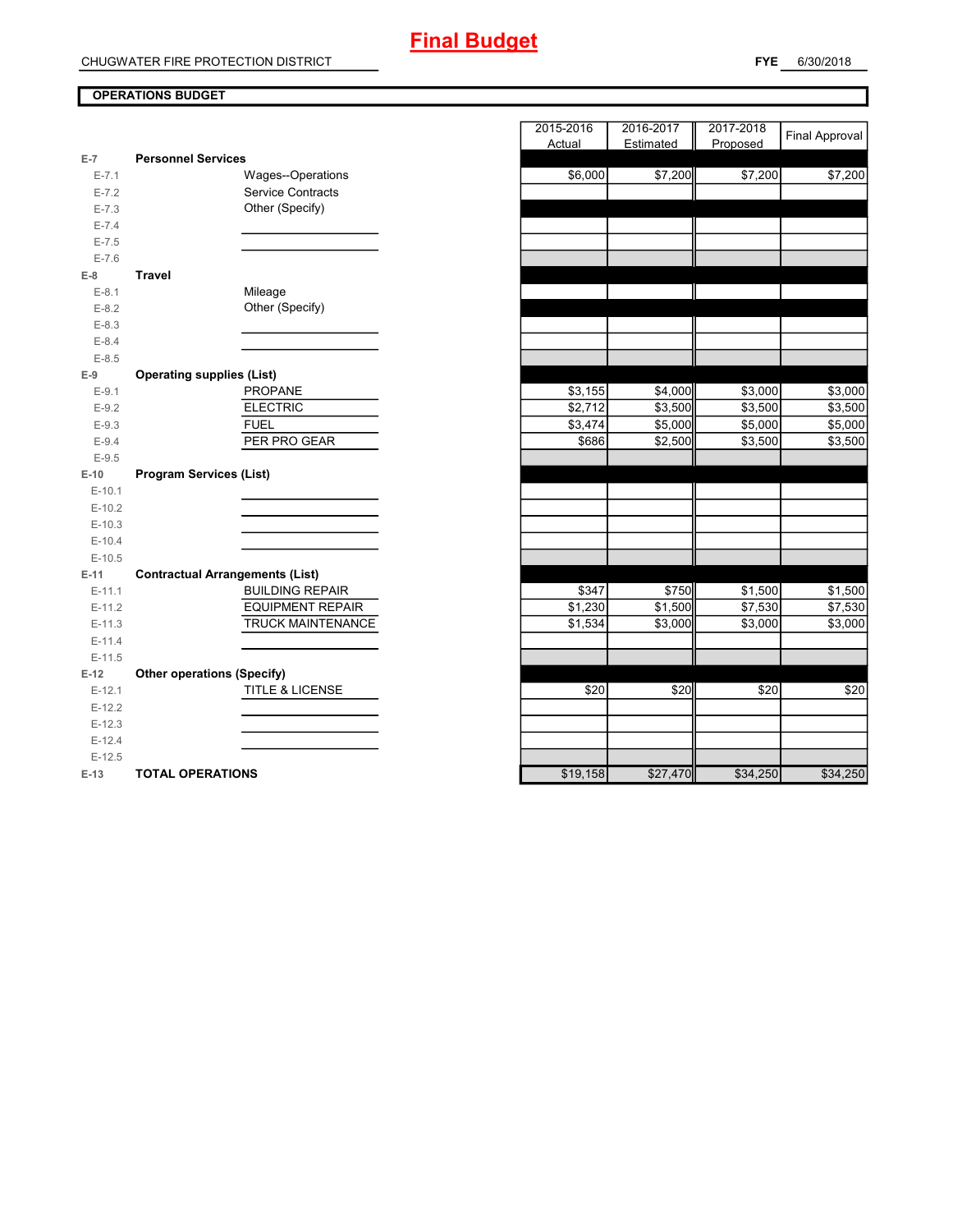### **OPERATIONS BUDGET**

| $E-7$     | <b>Personnel Services</b>              |
|-----------|----------------------------------------|
| $E - 7.1$ | Wages--Operations                      |
| $E - 7.2$ | <b>Service Contracts</b>               |
| $E - 7.3$ | Other (Specify)                        |
| $E - 7.4$ |                                        |
| $E - 7.5$ |                                        |
| $E - 7.6$ |                                        |
| $E-8$     | Travel                                 |
| $E-8.1$   | Mileage                                |
| $E-8.2$   | Other (Specify)                        |
| $E - 8.3$ |                                        |
| $E - 8.4$ |                                        |
| $E - 8.5$ |                                        |
| E-9       | <b>Operating supplies (List)</b>       |
| $E-9.1$   | <b>PROPANE</b>                         |
| $E-9.2$   | <b>ELECTRIC</b>                        |
| $E-9.3$   | <b>FUEL</b>                            |
| $E-9.4$   | PER PRO GEAR                           |
| $E-9.5$   |                                        |
| $E-10$    | <b>Program Services (List)</b>         |
| $E-10.1$  |                                        |
| $E-10.2$  |                                        |
|           |                                        |
| $E-10.3$  |                                        |
| $E-10.4$  |                                        |
| $E-10.5$  |                                        |
| $E-11$    | <b>Contractual Arrangements (List)</b> |
| $E-11.1$  | <b>BUILDING REPAIR</b>                 |
| $E-11.2$  | <b>EQUIPMENT REPAIR</b>                |
| $E-11.3$  | TRUCK MAINTENANCE                      |
| $E-11.4$  |                                        |
| $E-11.5$  |                                        |
| $E-12$    | <b>Other operations (Specify)</b>      |
| $E-12.1$  | <b>TITLE &amp; LICENSE</b>             |
| $E-12.2$  |                                        |
| $E-12.3$  |                                        |
| $E-12.4$  |                                        |
| $E-12.5$  |                                        |

|                |                                        | 2015-2016<br>Actual | 2016-2017<br>Estimated | 2017-2018<br>Proposed | <b>Final Approval</b> |
|----------------|----------------------------------------|---------------------|------------------------|-----------------------|-----------------------|
| $\overline{7}$ | <b>Personnel Services</b>              |                     |                        |                       |                       |
| $E - 7.1$      | Wages--Operations                      | \$6,000             | \$7,200                | \$7,200               | \$7,200               |
| $E - 7.2$      | <b>Service Contracts</b>               |                     |                        |                       |                       |
| $E - 7.3$      | Other (Specify)                        |                     |                        |                       |                       |
| $E - 7.4$      |                                        |                     |                        |                       |                       |
| $E - 7.5$      |                                        |                     |                        |                       |                       |
| $E - 7.6$      |                                        |                     |                        |                       |                       |
| 8              | <b>Travel</b>                          |                     |                        |                       |                       |
| $E-8.1$        | Mileage                                |                     |                        |                       |                       |
| $E-8.2$        | Other (Specify)                        |                     |                        |                       |                       |
| $E-8.3$        |                                        |                     |                        |                       |                       |
| $E - 8.4$      |                                        |                     |                        |                       |                       |
| $E - 8.5$      |                                        |                     |                        |                       |                       |
| 9              | <b>Operating supplies (List)</b>       |                     |                        |                       |                       |
| $E-9.1$        | <b>PROPANE</b>                         | \$3,155             | \$4,000                | \$3,000               | \$3,000               |
| $E-9.2$        | <b>ELECTRIC</b>                        | \$2,712             | \$3,500                | \$3,500               | \$3,500               |
| $E-9.3$        | <b>FUEL</b>                            | \$3,474             | \$5,000                | \$5,000               | \$5,000               |
| $E-9.4$        | PER PRO GEAR                           | \$686               | \$2,500                | \$3,500               | \$3,500               |
| $E-9.5$        |                                        |                     |                        |                       |                       |
| $-10$          | <b>Program Services (List)</b>         |                     |                        |                       |                       |
| $E-10.1$       |                                        |                     |                        |                       |                       |
| $E-10.2$       |                                        |                     |                        |                       |                       |
| $E-10.3$       |                                        |                     |                        |                       |                       |
| $E-10.4$       |                                        |                     |                        |                       |                       |
| $E-10.5$       |                                        |                     |                        |                       |                       |
| $-11$          | <b>Contractual Arrangements (List)</b> |                     |                        |                       |                       |
| $E-11.1$       | <b>BUILDING REPAIR</b>                 | \$347               | \$750                  | \$1,500               | \$1,500               |
| $E-11.2$       | <b>EQUIPMENT REPAIR</b>                | \$1,230             | \$1,500                | \$7,530               | \$7,530               |
| $E-11.3$       | TRUCK MAINTENANCE                      | \$1,534             | \$3,000                | \$3,000               | \$3,000               |
| $E-11.4$       |                                        |                     |                        |                       |                       |
| $E-11.5$       |                                        |                     |                        |                       |                       |
| 12             | <b>Other operations (Specify)</b>      |                     |                        |                       |                       |
| $E-12.1$       | TITLE & LICENSE                        | \$20                | \$20                   | \$20                  | \$20                  |
| $E-12.2$       |                                        |                     |                        |                       |                       |
| $E-12.3$       |                                        |                     |                        |                       |                       |
| $E-12.4$       |                                        |                     |                        |                       |                       |
| $E-12.5$       |                                        |                     |                        |                       |                       |
| $-13$          | <b>TOTAL OPERATIONS</b>                | \$19.158            | \$27,470               | \$34.250              | \$34,250              |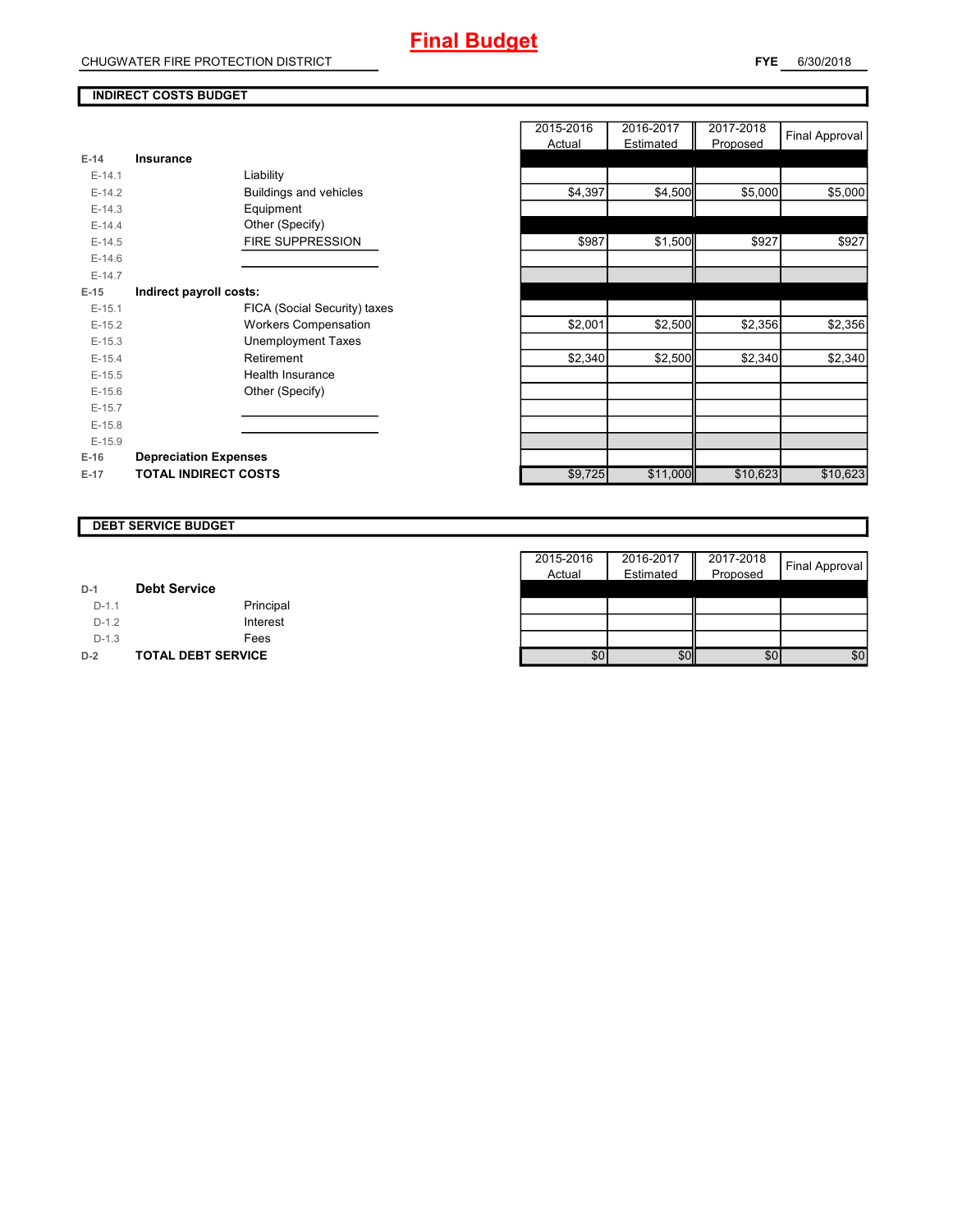#### **INDIRECT COSTS BUDGET**

| E-14     | Insurance                     |
|----------|-------------------------------|
| $F-14.1$ | Liability                     |
| $F-14.2$ | <b>Buildings and vehicles</b> |
| $E-14.3$ | Equipment                     |
| $F-14.4$ | Other (Specify)               |
| $E-14.5$ | <b>FIRE SUPPRESSION</b>       |
| $F-14.6$ |                               |
| $F-14.7$ |                               |
| E-15     | Indirect payroll costs:       |
| $F-15.1$ | FICA (Social Security) taxes  |
| $F-15.2$ | <b>Workers Compensation</b>   |
| $F-15.3$ | Unemployment Taxes            |
| $F-15.4$ | Retirement                    |
| $F-15.5$ | Health Insurance              |
| $F-15.6$ | Other (Specify)               |
| $E-15.7$ |                               |
| $E-15.8$ |                               |
| $F-15.9$ |                               |
| $E-16$   | <b>Depreciation Expenses</b>  |
| E-17     | <b>TOTAL INDIRECT COSTS</b>   |

|          |                              | 2015-2016<br>Actual | 2016-2017<br>Estimated | 2017-2018<br>Proposed | Final Approval |
|----------|------------------------------|---------------------|------------------------|-----------------------|----------------|
| $E-14$   | <b>Insurance</b>             |                     |                        |                       |                |
| $E-14.1$ | Liability                    |                     |                        |                       |                |
| $E-14.2$ | Buildings and vehicles       | \$4,397             | \$4,500                | \$5,000               | \$5,000        |
| $E-14.3$ | Equipment                    |                     |                        |                       |                |
| $E-14.4$ | Other (Specify)              |                     |                        |                       |                |
| $E-14.5$ | FIRE SUPPRESSION             | \$987               | \$1,500                | \$927                 | \$927          |
| $E-14.6$ |                              |                     |                        |                       |                |
| $E-14.7$ |                              |                     |                        |                       |                |
| $E-15$   | Indirect payroll costs:      |                     |                        |                       |                |
| $E-15.1$ | FICA (Social Security) taxes |                     |                        |                       |                |
| $E-15.2$ | <b>Workers Compensation</b>  | \$2,001             | \$2,500                | \$2,356               | \$2,356        |
| $E-15.3$ | <b>Unemployment Taxes</b>    |                     |                        |                       |                |
| $E-15.4$ | Retirement                   | \$2,340             | \$2,500                | \$2,340               | \$2,340        |
| $E-15.5$ | Health Insurance             |                     |                        |                       |                |
| $E-15.6$ | Other (Specify)              |                     |                        |                       |                |
| $E-15.7$ |                              |                     |                        |                       |                |
| $E-15.8$ |                              |                     |                        |                       |                |
| $E-15.9$ |                              |                     |                        |                       |                |
| E-16     | <b>Depreciation Expenses</b> |                     |                        |                       |                |
| $E-17$   | <b>TOTAL INDIRECT COSTS</b>  | \$9,725             | \$11,000               | \$10,623              | \$10,623       |
|          |                              |                     |                        |                       |                |

### **DEBT SERVICE BUDGET**

|         |                           | 2015-2016 | 2016-2017 | Ш<br>2017-2018 | Final Approval |
|---------|---------------------------|-----------|-----------|----------------|----------------|
|         |                           | Actual    | Estimated | Proposed       |                |
| $D-1$   | <b>Debt Service</b>       |           |           |                |                |
| $D-1.1$ | Principal                 |           |           |                |                |
| $D-1.2$ | Interest                  |           |           |                |                |
| $D-1.3$ | Fees                      |           |           |                |                |
| $D-2$   | <b>TOTAL DEBT SERVICE</b> | \$0       | \$0       | \$0            | \$0            |